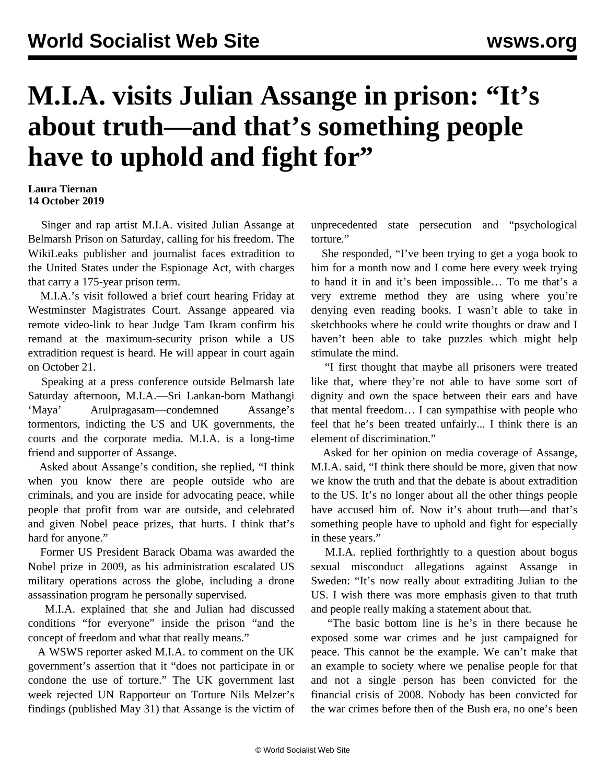## **M.I.A. visits Julian Assange in prison: "It's about truth—and that's something people have to uphold and fight for"**

## **Laura Tiernan 14 October 2019**

 Singer and rap artist M.I.A. visited Julian Assange at Belmarsh Prison on Saturday, calling for his freedom. The WikiLeaks publisher and journalist faces extradition to the United States under the Espionage Act, with charges that carry a 175-year prison term.

 M.I.A.'s visit followed a brief court hearing Friday at Westminster Magistrates Court. Assange appeared via remote video-link to hear Judge Tam Ikram confirm his remand at the maximum-security prison while a US extradition request is heard. He will appear in court again on October 21.

 Speaking at a press conference outside Belmarsh late Saturday afternoon, M.I.A.—Sri Lankan-born Mathangi 'Maya' Arulpragasam—condemned Assange's tormentors, indicting the US and UK governments, the courts and the corporate media. M.I.A. is a long-time friend and supporter of Assange.

 Asked about Assange's condition, she replied, "I think when you know there are people outside who are criminals, and you are inside for advocating peace, while people that profit from war are outside, and celebrated and given Nobel peace prizes, that hurts. I think that's hard for anyone."

 Former US President Barack Obama was awarded the Nobel prize in 2009, as his administration escalated US military operations across the globe, including a drone assassination program he personally supervised.

 M.I.A. explained that she and Julian had discussed conditions "for everyone" inside the prison "and the concept of freedom and what that really means."

 A WSWS reporter asked M.I.A. to comment on the UK government's assertion that it "does not participate in or condone the use of torture." The UK government last week rejected UN Rapporteur on Torture Nils Melzer's findings (published May 31) that Assange is the victim of unprecedented state persecution and "psychological torture."

 She responded, "I've been trying to get a yoga book to him for a month now and I come here every week trying to hand it in and it's been impossible… To me that's a very extreme method they are using where you're denying even reading books. I wasn't able to take in sketchbooks where he could write thoughts or draw and I haven't been able to take puzzles which might help stimulate the mind.

 "I first thought that maybe all prisoners were treated like that, where they're not able to have some sort of dignity and own the space between their ears and have that mental freedom… I can sympathise with people who feel that he's been treated unfairly... I think there is an element of discrimination."

 Asked for her opinion on media coverage of Assange, M.I.A. said, "I think there should be more, given that now we know the truth and that the debate is about extradition to the US. It's no longer about all the other things people have accused him of. Now it's about truth—and that's something people have to uphold and fight for especially in these years."

 M.I.A. replied forthrightly to a question about bogus sexual misconduct allegations against Assange in Sweden: "It's now really about extraditing Julian to the US. I wish there was more emphasis given to that truth and people really making a statement about that.

 "The basic bottom line is he's in there because he exposed some war crimes and he just campaigned for peace. This cannot be the example. We can't make that an example to society where we penalise people for that and not a single person has been convicted for the financial crisis of 2008. Nobody has been convicted for the war crimes before then of the Bush era, no one's been